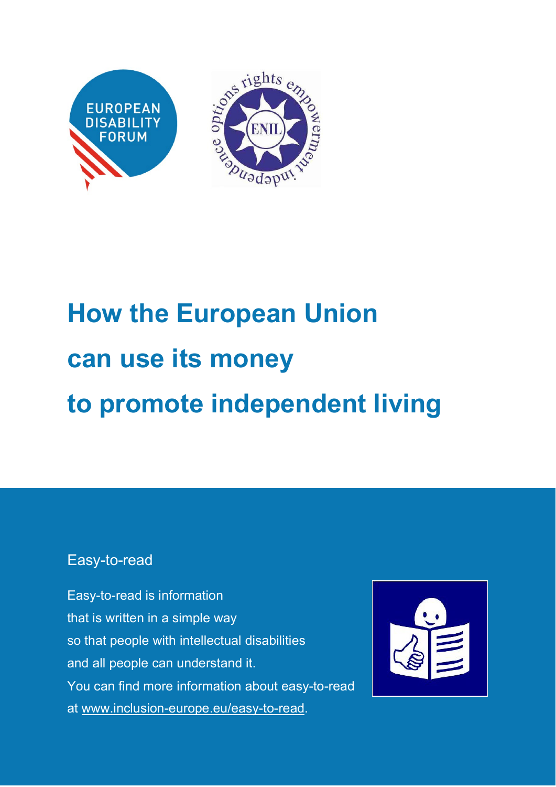

# **How the European Union can use its money to promote independent living**

#### Easy-to-read

Easy-to-read is information that is written in a simple way so that people with intellectual disabilities and all people can understand it. You can find more information about easy-to-read at [www.inclusion-europe.eu/easy-to-read.](http://www.inclusion-europe.eu/easy-to-read)

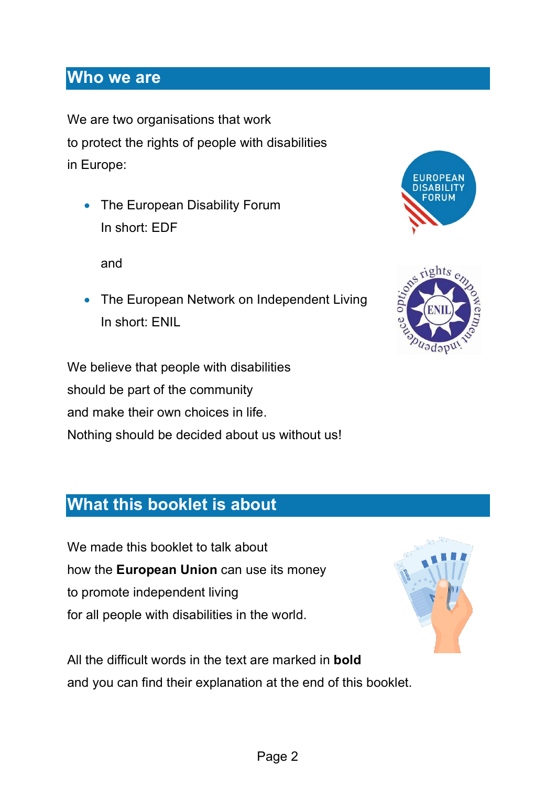#### **Who we are**

We are two organisations that work to protect the rights of people with disabilities in Europe:

• The European Disability Forum In short: EDF

and

• The European Network on Independent Living In short: ENIL

We believe that people with disabilities should be part of the community and make their own choices in life. Nothing should be decided about us without us!





#### **What this booklet is about**

We made this booklet to talk about how the **European Union** can use its money to promote independent living for all people with disabilities in the world.



All the difficult words in the text are marked in **bold** and you can find their explanation at the end of this booklet.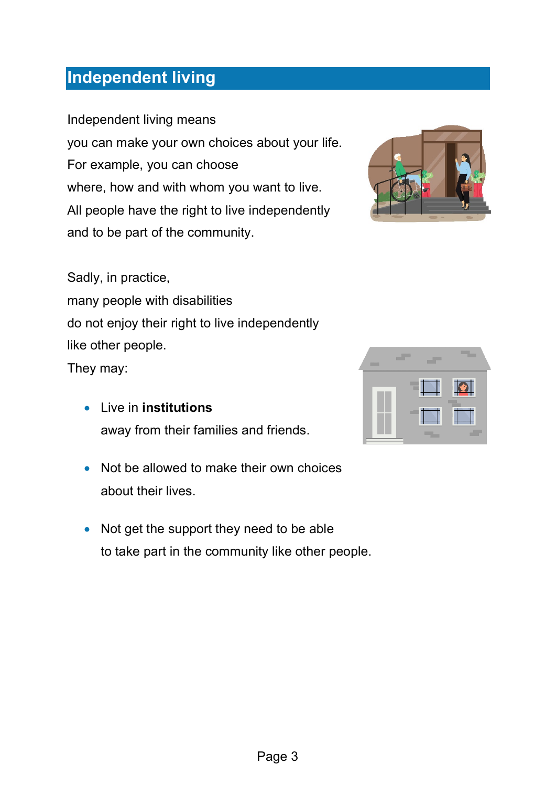### **Independent living**

Independent living means you can make your own choices about your life. For example, you can choose where, how and with whom you want to live. All people have the right to live independently and to be part of the community.

Sadly, in practice,

many people with disabilities do not enjoy their right to live independently like other people.

They may:

- Live in **institutions** away from their families and friends.
- Not be allowed to make their own choices about their lives.
- Not get the support they need to be able to take part in the community like other people.



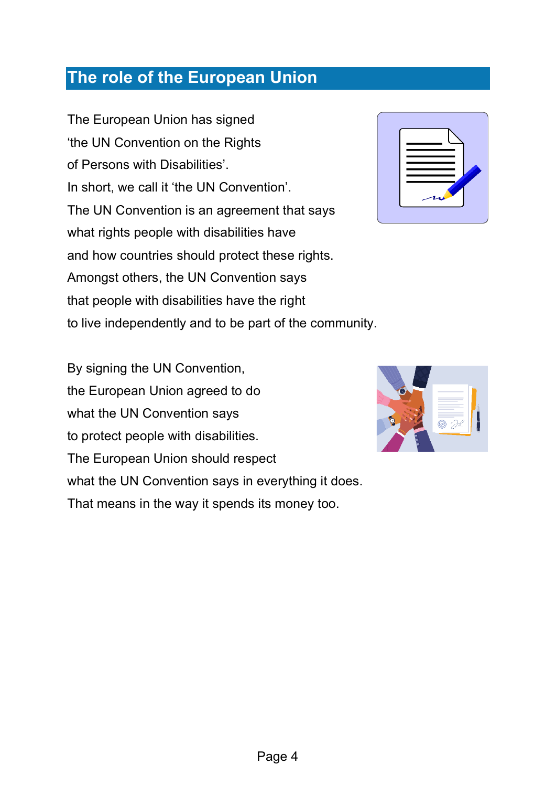#### **The role of the European Union**

The European Union has signed 'the UN Convention on the Rights of Persons with Disabilities'. In short, we call it 'the UN Convention'. The UN Convention is an agreement that says what rights people with disabilities have and how countries should protect these rights. Amongst others, the UN Convention says that people with disabilities have the right to live independently and to be part of the community.

By signing the UN Convention, the European Union agreed to do what the UN Convention says to protect people with disabilities. The European Union should respect what the UN Convention says in everything it does. That means in the way it spends its money too.

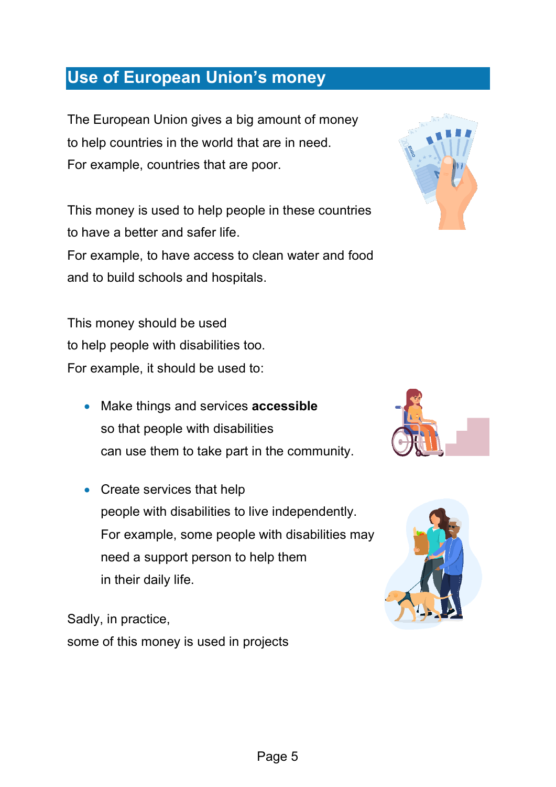#### **Use of European Union's money**

The European Union gives a big amount of money to help countries in the world that are in need. For example, countries that are poor.

This money is used to help people in these countries to have a better and safer life. For example, to have access to clean water and food and to build schools and hospitals.



- Make things and services **accessible** so that people with disabilities can use them to take part in the community.
- Create services that help people with disabilities to live independently. For example, some people with disabilities may need a support person to help them in their daily life.

Sadly, in practice, some of this money is used in projects





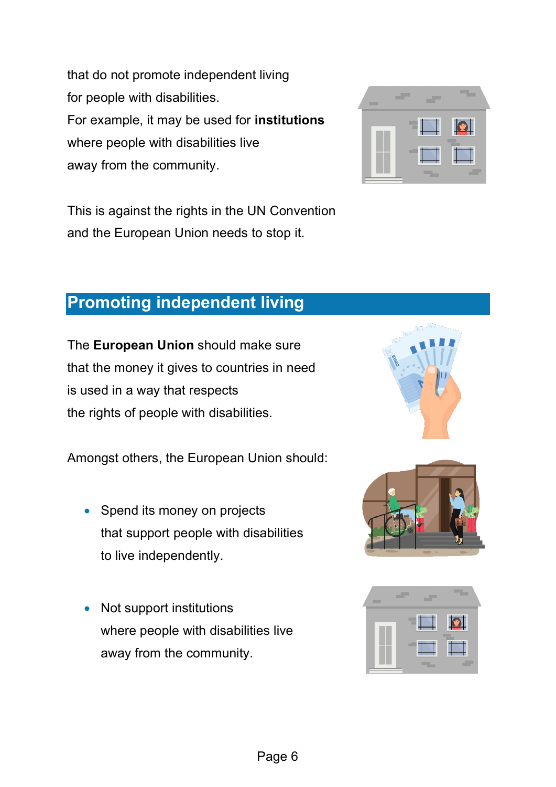that do not promote independent living for people with disabilities. For example, it may be used for **institutions** where people with disabilities live away from the community.

This is against the rights in the UN Convention and the European Union needs to stop it.



#### **Promoting independent living**

The **European Union** should make sure that the money it gives to countries in need is used in a way that respects the rights of people with disabilities.

Amongst others, the European Union should:

- Spend its money on projects that support people with disabilities to live independently.
- Not support institutions where people with disabilities live away from the community.





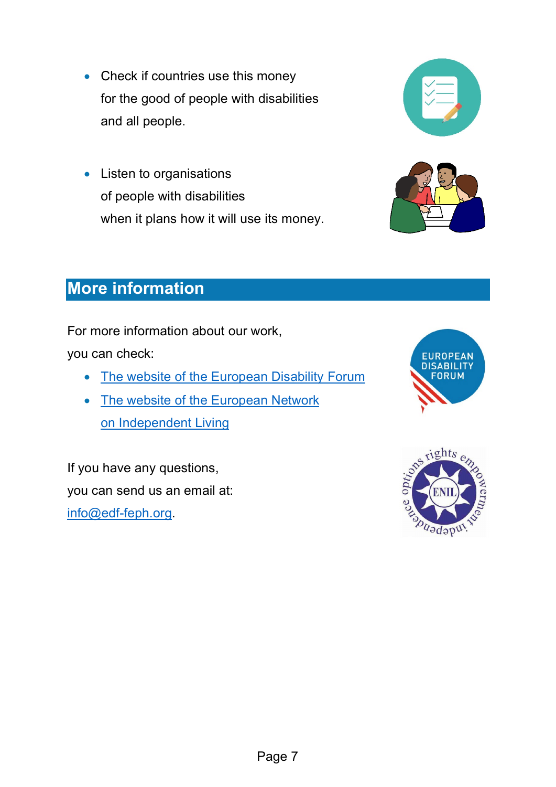- Check if countries use this money for the good of people with disabilities and all people.
- Listen to organisations of people with disabilities when it plans how it will use its money.





## **More information**

For more information about our work,

you can check:

- [The website of the European Disability Forum](https://www.edf-feph.org/)
- The website of the European Network [on Independent](https://enil.eu/) Living

If you have any questions, you can send us an email at: [info@edf-feph.org.](mailto:info@edf-feph.org)



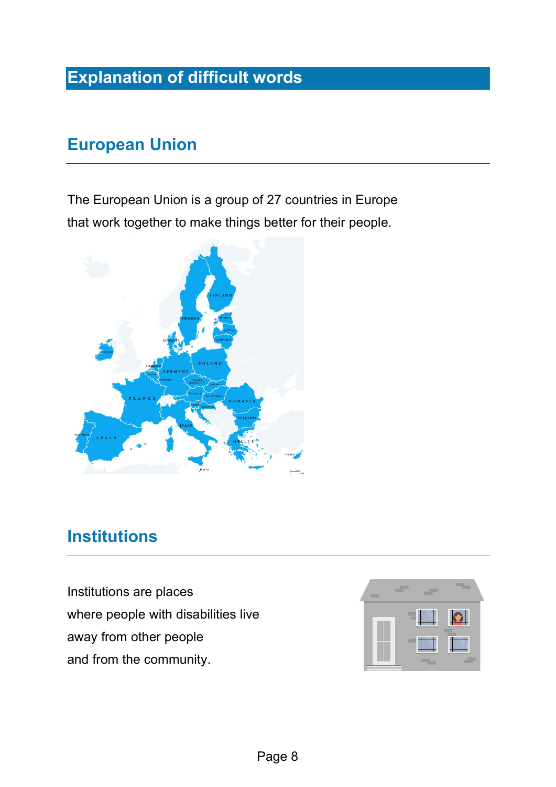# **Explanation of difficult words**

### **European Union**

The European Union is a group of 27 countries in Europe that work together to make things better for their people.



#### **Institutions**

Institutions are places where people with [disabilities](https://www.inclusion-europe.eu/easy-to-read-term/#IntellectualDisability) live away from other people and from the community.